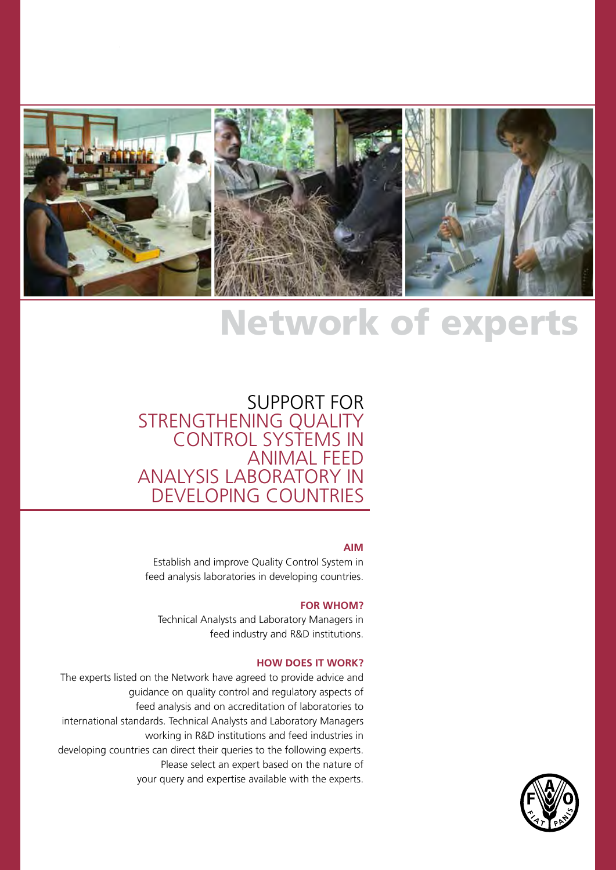

# Network of experts

SUPPORT FOR STRENGTHENING QUALITY CONTROL SYSTEMS IN ANIMAL FEED ANALYSIS LABORATORY IN DEVELOPING COUNTRIES

#### **AIM**

Establish and improve Quality Control System in feed analysis laboratories in developing countries.

#### **FOR WHOM?**

Technical Analysts and Laboratory Managers in feed industry and R&D institutions.

### **HOW DOES IT WORK?**

The experts listed on the Network have agreed to provide advice and guidance on quality control and regulatory aspects of feed analysis and on accreditation of laboratories to international standards. Technical Analysts and Laboratory Managers working in R&D institutions and feed industries in developing countries can direct their queries to the following experts. Please select an expert based on the nature of your query and expertise available with the experts.

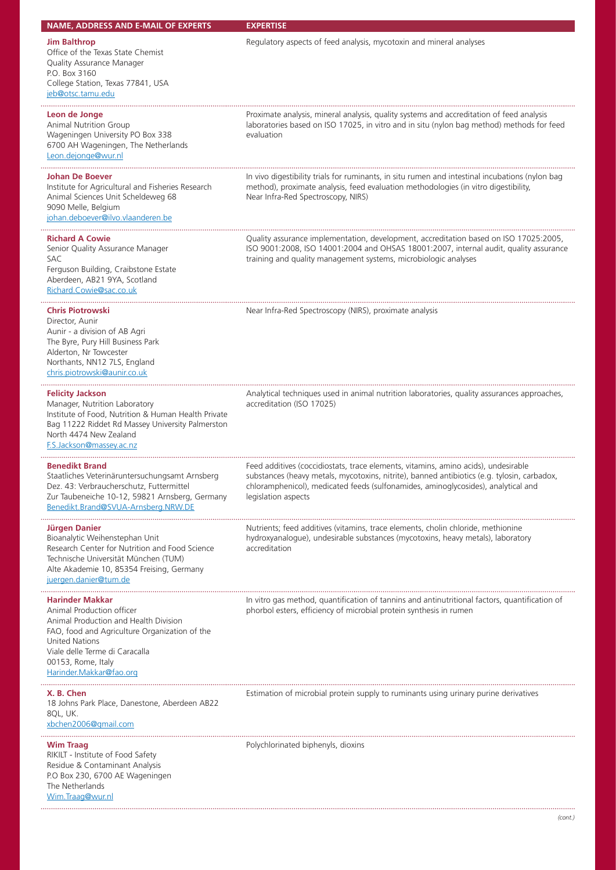| NAME, ADDRESS AND E-MAIL OF EXPERTS                                                                                                                                                                                                                 | <b>EXPERTISE</b>                                                                                                                                                                                                                                                                              |
|-----------------------------------------------------------------------------------------------------------------------------------------------------------------------------------------------------------------------------------------------------|-----------------------------------------------------------------------------------------------------------------------------------------------------------------------------------------------------------------------------------------------------------------------------------------------|
| <b>Jim Balthrop</b><br>Office of the Texas State Chemist<br>Quality Assurance Manager<br>P.O. Box 3160<br>College Station, Texas 77841, USA<br>jeb@otsc.tamu.edu                                                                                    | Regulatory aspects of feed analysis, mycotoxin and mineral analyses                                                                                                                                                                                                                           |
| Leon de Jonge<br>Animal Nutrition Group<br>Wageningen University PO Box 338<br>6700 AH Wageningen, The Netherlands<br>Leon.dejonge@wur.nl                                                                                                           | Proximate analysis, mineral analysis, quality systems and accreditation of feed analysis<br>laboratories based on ISO 17025, in vitro and in situ (nylon bag method) methods for feed<br>evaluation                                                                                           |
| <b>Johan De Boever</b><br>Institute for Agricultural and Fisheries Research<br>Animal Sciences Unit Scheldeweg 68<br>9090 Melle, Belgium<br>johan.deboever@ilvo.vlaanderen.be                                                                       | In vivo digestibility trials for ruminants, in situ rumen and intestinal incubations (nylon bag<br>method), proximate analysis, feed evaluation methodologies (in vitro digestibility,<br>Near Infra-Red Spectroscopy, NIRS)                                                                  |
| <b>Richard A Cowie</b><br>Senior Quality Assurance Manager<br>SAC<br>Ferguson Building, Craibstone Estate<br>Aberdeen, AB21 9YA, Scotland<br>Richard.Cowie@sac.co.uk                                                                                | Quality assurance implementation, development, accreditation based on ISO 17025:2005,<br>ISO 9001:2008, ISO 14001:2004 and OHSAS 18001:2007, internal audit, quality assurance<br>training and quality management systems, microbiologic analyses                                             |
| <b>Chris Piotrowski</b><br>Director, Aunir<br>Aunir - a division of AB Agri<br>The Byre, Pury Hill Business Park<br>Alderton, Nr Towcester<br>Northants, NN12 7LS, England<br>chris.piotrowski@aunir.co.uk                                          | Near Infra-Red Spectroscopy (NIRS), proximate analysis                                                                                                                                                                                                                                        |
| <b>Felicity Jackson</b><br>Manager, Nutrition Laboratory<br>Institute of Food, Nutrition & Human Health Private<br>Bag 11222 Riddet Rd Massey University Palmerston<br>North 4474 New Zealand<br>F.S.Jackson@massey.ac.nz                           | Analytical techniques used in animal nutrition laboratories, quality assurances approaches,<br>accreditation (ISO 17025)                                                                                                                                                                      |
| <b>Benedikt Brand</b><br>Staatliches Veterinäruntersuchungsamt Arnsberg<br>Dez. 43: Verbraucherschutz, Futtermittel<br>Zur Taubeneiche 10-12, 59821 Arnsberg, Germany<br>Benedikt.Brand@SVUA-Arnsberg.NRW.DE                                        | Feed additives (coccidiostats, trace elements, vitamins, amino acids), undesirable<br>substances (heavy metals, mycotoxins, nitrite), banned antibiotics (e.g. tylosin, carbadox,<br>chloramphenicol), medicated feeds (sulfonamides, aminoglycosides), analytical and<br>legislation aspects |
| Jürgen Danier<br>Bioanalytic Weihenstephan Unit<br>Research Center for Nutrition and Food Science<br>Technische Universität München (TUM)<br>Alte Akademie 10, 85354 Freising, Germany<br>juergen.danier@tum.de                                     | Nutrients; feed additives (vitamins, trace elements, cholin chloride, methionine<br>hydroxyanalogue), undesirable substances (mycotoxins, heavy metals), laboratory<br>accreditation                                                                                                          |
| Harinder Makkar<br>Animal Production officer<br>Animal Production and Health Division<br>FAO, food and Agriculture Organization of the<br><b>United Nations</b><br>Viale delle Terme di Caracalla<br>00153, Rome, Italy<br>Harinder. Makkar@fao.org | In vitro gas method, quantification of tannins and antinutritional factors, quantification of<br>phorbol esters, efficiency of microbial protein synthesis in rumen                                                                                                                           |
| X. B. Chen<br>18 Johns Park Place, Danestone, Aberdeen AB22<br>8QL, UK.<br>xbchen2006@gmail.com                                                                                                                                                     | Estimation of microbial protein supply to ruminants using urinary purine derivatives                                                                                                                                                                                                          |
| <b>Wim Traag</b><br>RIKILT - Institute of Food Safety<br>Residue & Contaminant Analysis<br>P.O Box 230, 6700 AE Wageningen<br>The Netherlands<br>Wim.Traag@wur.nl                                                                                   | Polychlorinated biphenyls, dioxins                                                                                                                                                                                                                                                            |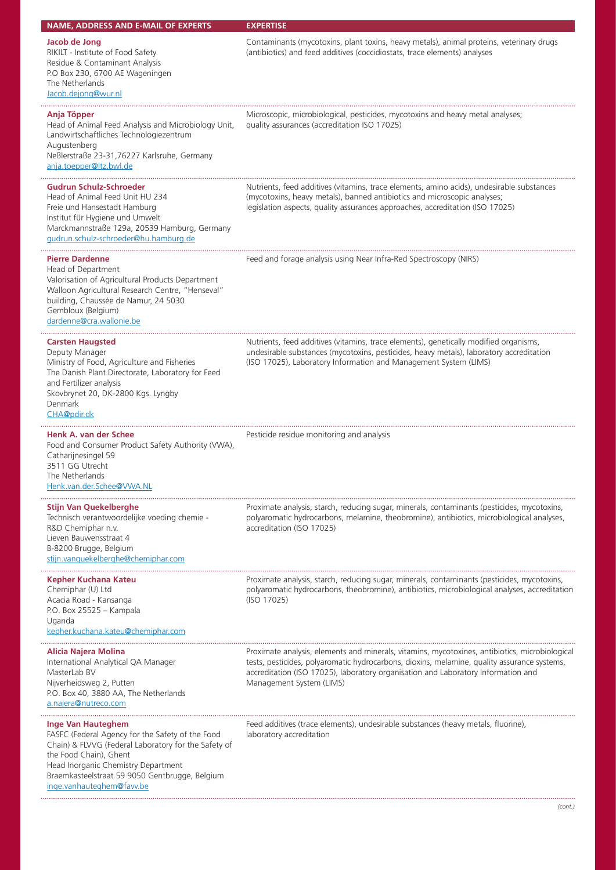| NAME, ADDRESS AND E-MAIL OF EXPERTS                                                                                                                                                                                                                                            | <b>EXPERTISE</b>                                                                                                                                                                                                                                                                                               |
|--------------------------------------------------------------------------------------------------------------------------------------------------------------------------------------------------------------------------------------------------------------------------------|----------------------------------------------------------------------------------------------------------------------------------------------------------------------------------------------------------------------------------------------------------------------------------------------------------------|
| Jacob de Jong<br>RIKILT - Institute of Food Safety<br>Residue & Contaminant Analysis<br>P.O Box 230, 6700 AE Wageningen<br>The Netherlands<br>Jacob.dejong@wur.nl                                                                                                              | Contaminants (mycotoxins, plant toxins, heavy metals), animal proteins, veterinary drugs<br>(antibiotics) and feed additives (coccidiostats, trace elements) analyses                                                                                                                                          |
| Anja Töpper<br>Head of Animal Feed Analysis and Microbiology Unit,<br>Landwirtschaftliches Technologiezentrum<br>Augustenberg<br>Neßlerstraße 23-31,76227 Karlsruhe, Germany<br>ania.toepper@ltz.bwl.de                                                                        | Microscopic, microbiological, pesticides, mycotoxins and heavy metal analyses;<br>quality assurances (accreditation ISO 17025)                                                                                                                                                                                 |
| Gudrun Schulz-Schroeder<br>Head of Animal Feed Unit HU 234<br>Freie und Hansestadt Hamburg<br>Institut für Hygiene und Umwelt<br>Marckmannstraße 129a, 20539 Hamburg, Germany<br>gudrun.schulz-schroeder@hu.hamburg.de                                                         | Nutrients, feed additives (vitamins, trace elements, amino acids), undesirable substances<br>(mycotoxins, heavy metals), banned antibiotics and microscopic analyses;<br>legislation aspects, quality assurances approaches, accreditation (ISO 17025)                                                         |
| <b>Pierre Dardenne</b><br>Head of Department<br>Valorisation of Agricultural Products Department<br>Walloon Agricultural Research Centre, "Henseval"<br>building, Chaussée de Namur, 24 5030<br>Gembloux (Belgium)<br>dardenne@cra.wallonie.be                                 | Feed and forage analysis using Near Infra-Red Spectroscopy (NIRS)                                                                                                                                                                                                                                              |
| <b>Carsten Haugsted</b><br>Deputy Manager<br>Ministry of Food, Agriculture and Fisheries<br>The Danish Plant Directorate, Laboratory for Feed<br>and Fertilizer analysis<br>Skovbrynet 20, DK-2800 Kgs. Lyngby<br>Denmark<br>CHA@pdir.dk                                       | Nutrients, feed additives (vitamins, trace elements), genetically modified organisms,<br>undesirable substances (mycotoxins, pesticides, heavy metals), laboratory accreditation<br>(ISO 17025), Laboratory Information and Management System (LIMS)                                                           |
| Henk A. van der Schee<br>Food and Consumer Product Safety Authority (VWA),<br>Catharijnesingel 59<br>3511 GG Utrecht<br>The Netherlands<br>Henk.van.der.Schee@VWA.NL                                                                                                           | Pesticide residue monitoring and analysis                                                                                                                                                                                                                                                                      |
| Stijn Van Quekelberghe<br>Technisch verantwoordelijke voeding chemie -<br>R&D Chemiphar n.v.<br>Lieven Bauwensstraat 4<br>B-8200 Brugge, Belgium<br>stijn.vanguekelberghe@chemiphar.com                                                                                        | Proximate analysis, starch, reducing sugar, minerals, contaminants (pesticides, mycotoxins,<br>polyaromatic hydrocarbons, melamine, theobromine), antibiotics, microbiological analyses,<br>accreditation (ISO 17025)                                                                                          |
| Kepher Kuchana Kateu<br>Chemiphar (U) Ltd<br>Acacia Road - Kansanga<br>P.O. Box 25525 - Kampala<br>Uganda<br>kepher.kuchana.kateu@chemiphar.com                                                                                                                                | Proximate analysis, starch, reducing sugar, minerals, contaminants (pesticides, mycotoxins,<br>polyaromatic hydrocarbons, theobromine), antibiotics, microbiological analyses, accreditation<br>(ISO 17025)                                                                                                    |
| <b>Alicia Najera Molina</b><br>International Analytical QA Manager<br>MasterLab BV<br>Nijverheidsweg 2, Putten<br>P.O. Box 40, 3880 AA, The Netherlands<br>a.najera@nutreco.com                                                                                                | Proximate analysis, elements and minerals, vitamins, mycotoxines, antibiotics, microbiological<br>tests, pesticides, polyaromatic hydrocarbons, dioxins, melamine, quality assurance systems,<br>accreditation (ISO 17025), laboratory organisation and Laboratory Information and<br>Management System (LIMS) |
| Inge Van Hauteghem<br>FASFC (Federal Agency for the Safety of the Food<br>Chain) & FLVVG (Federal Laboratory for the Safety of<br>the Food Chain), Ghent<br>Head Inorganic Chemistry Department<br>Braemkasteelstraat 59 9050 Gentbrugge, Belgium<br>inge.vanhauteghem@favv.be | Feed additives (trace elements), undesirable substances (heavy metals, fluorine),<br>laboratory accreditation                                                                                                                                                                                                  |
|                                                                                                                                                                                                                                                                                | (cont.)                                                                                                                                                                                                                                                                                                        |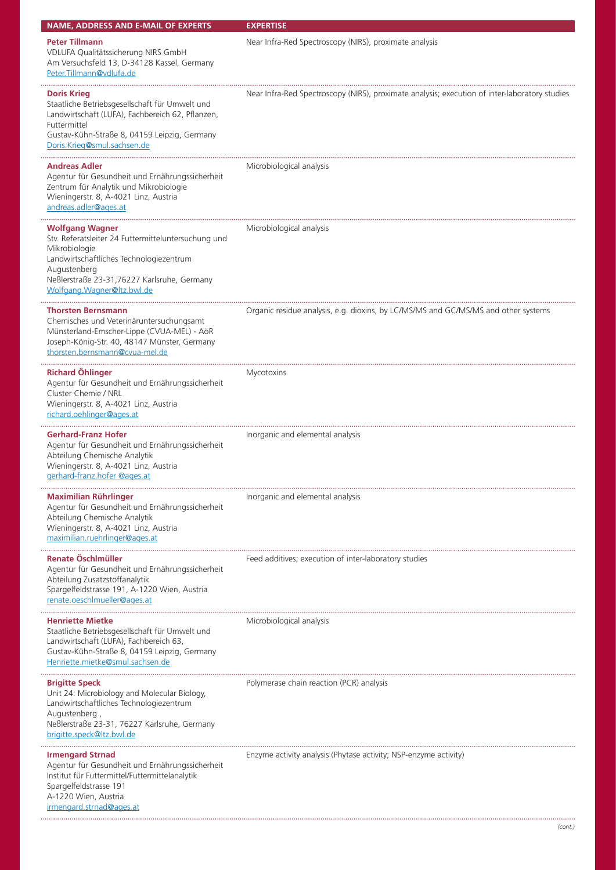| NAME, ADDRESS AND E-MAIL OF EXPERTS                                                                                                                                                                                                     | <b>EXPERTISE</b>                                                                              |
|-----------------------------------------------------------------------------------------------------------------------------------------------------------------------------------------------------------------------------------------|-----------------------------------------------------------------------------------------------|
| <b>Peter Tillmann</b><br>VDLUFA Qualitätssicherung NIRS GmbH<br>Am Versuchsfeld 13, D-34128 Kassel, Germany<br>Peter.Tillmann@vdlufa.de                                                                                                 | Near Infra-Red Spectroscopy (NIRS), proximate analysis                                        |
| <b>Doris Krieg</b><br>Staatliche Betriebsgesellschaft für Umwelt und<br>Landwirtschaft (LUFA), Fachbereich 62, Pflanzen,<br>Futtermittel<br>Gustav-Kühn-Straße 8, 04159 Leipzig, Germany<br>Doris.Krieg@smul.sachsen.de                 | Near Infra-Red Spectroscopy (NIRS), proximate analysis; execution of inter-laboratory studies |
| <b>Andreas Adler</b><br>Agentur für Gesundheit und Ernährungssicherheit<br>Zentrum für Analytik und Mikrobiologie<br>Wieningerstr. 8, A-4021 Linz, Austria<br>andreas.adler@ages.at                                                     | Microbiological analysis                                                                      |
| <b>Wolfgang Wagner</b><br>Stv. Referatsleiter 24 Futtermitteluntersuchung und<br>Mikrobiologie<br>Landwirtschaftliches Technologiezentrum<br>Augustenberg<br>Neßlerstraße 23-31,76227 Karlsruhe, Germany<br>Wolfgang. Wagner@ltz.bwl.de | Microbiological analysis                                                                      |
| <b>Thorsten Bernsmann</b><br>Chemisches und Veterinäruntersuchungsamt<br>Münsterland-Emscher-Lippe (CVUA-MEL) - AöR<br>Joseph-König-Str. 40, 48147 Münster, Germany<br>thorsten.bernsmann@cvua-mel.de                                   | Organic residue analysis, e.g. dioxins, by LC/MS/MS and GC/MS/MS and other systems            |
| <b>Richard Öhlinger</b><br>Agentur für Gesundheit und Ernährungssicherheit<br>Cluster Chemie / NRL<br>Wieningerstr. 8, A-4021 Linz, Austria<br>richard.oehlinger@ages.at                                                                | Mycotoxins                                                                                    |
| <b>Gerhard-Franz Hofer</b><br>Agentur für Gesundheit und Ernährungssicherheit<br>Abteilung Chemische Analytik<br>Wieningerstr. 8, A-4021 Linz, Austria<br>gerhard-franz.hofer @ages.at                                                  | Inorganic and elemental analysis                                                              |
| <b>Maximilian Rührlinger</b><br>Agentur für Gesundheit und Ernährungssicherheit<br>Abteilung Chemische Analytik<br>Wieningerstr. 8, A-4021 Linz, Austria<br>maximilian.ruehrlinger@ages.at                                              | Inorganic and elemental analysis                                                              |
| Renate Öschlmüller<br>Agentur für Gesundheit und Ernährungssicherheit<br>Abteilung Zusatzstoffanalytik<br>Spargelfeldstrasse 191, A-1220 Wien, Austria<br>renate.oeschlmueller@ages.at                                                  | Feed additives; execution of inter-laboratory studies                                         |
| Henriette Mietke<br>Staatliche Betriebsgesellschaft für Umwelt und<br>Landwirtschaft (LUFA), Fachbereich 63,<br>Gustav-Kühn-Straße 8, 04159 Leipzig, Germany<br>Henriette.mietke@smul.sachsen.de                                        | Microbiological analysis                                                                      |
| <b>Brigitte Speck</b><br>Unit 24: Microbiology and Molecular Biology,<br>Landwirtschaftliches Technologiezentrum<br>Augustenberg,<br>Neßlerstraße 23-31, 76227 Karlsruhe, Germany<br><u>brigitte.speck@ltz.bwl.de</u>                   | Polymerase chain reaction (PCR) analysis                                                      |
| <b>Irmengard Strnad</b><br>Agentur für Gesundheit und Ernährungssicherheit<br>Institut für Futtermittel/Futtermittelanalytik<br>Spargelfeldstrasse 191<br>A-1220 Wien, Austria<br>irmengard.strnad@ages.at                              | Enzyme activity analysis (Phytase activity; NSP-enzyme activity)                              |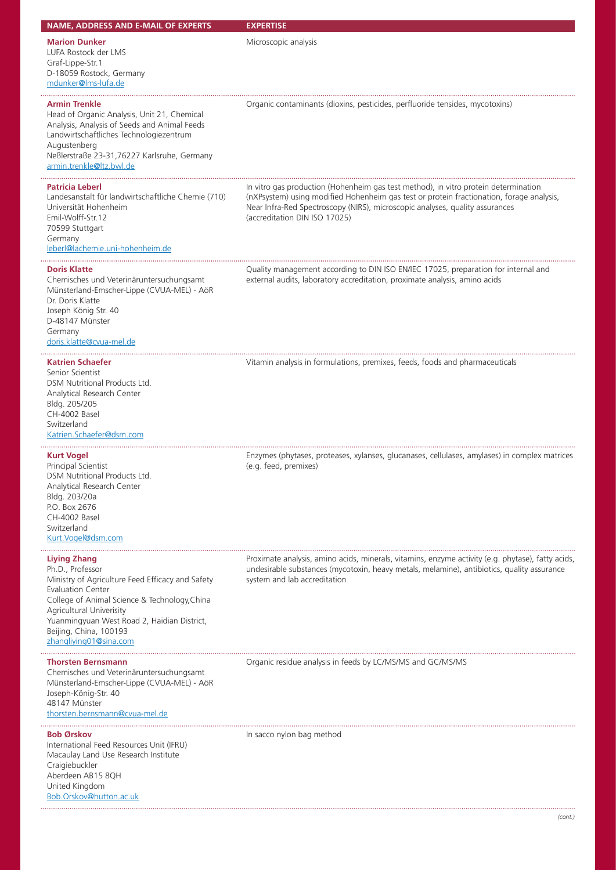| NAME, ADDRESS AND E-MAIL OF EXPERTS                                                                                                                                                                                                                                                                     | <b>EXPERTISE</b>                                                                                                                                                                                                                                                                                 |
|---------------------------------------------------------------------------------------------------------------------------------------------------------------------------------------------------------------------------------------------------------------------------------------------------------|--------------------------------------------------------------------------------------------------------------------------------------------------------------------------------------------------------------------------------------------------------------------------------------------------|
| <b>Marion Dunker</b><br>LUFA Rostock der LMS<br>Graf-Lippe-Str.1<br>D-18059 Rostock, Germany<br>mdunker@lms-lufa.de                                                                                                                                                                                     | Microscopic analysis                                                                                                                                                                                                                                                                             |
| <b>Armin Trenkle</b><br>Head of Organic Analysis, Unit 21, Chemical<br>Analysis, Analysis of Seeds and Animal Feeds<br>Landwirtschaftliches Technologiezentrum<br>Augustenberg<br>Neßlerstraße 23-31,76227 Karlsruhe, Germany<br>armin.trenkle@ltz.bwl.de                                               | Organic contaminants (dioxins, pesticides, perfluoride tensides, mycotoxins)                                                                                                                                                                                                                     |
| <b>Patricia Leberl</b><br>Landesanstalt für landwirtschaftliche Chemie (710)<br>Universität Hohenheim<br>Emil-Wolff-Str.12<br>70599 Stuttgart<br>Germany<br>leberl@lachemie.uni-hohenheim.de                                                                                                            | In vitro gas production (Hohenheim gas test method), in vitro protein determination<br>(nXPsystem) using modified Hohenheim gas test or protein fractionation, forage analysis,<br>Near Infra-Red Spectroscopy (NIRS), microscopic analyses, quality assurances<br>(accreditation DIN ISO 17025) |
| <b>Doris Klatte</b><br>Chemisches und Veterinäruntersuchungsamt<br>Münsterland-Emscher-Lippe (CVUA-MEL) - AöR<br>Dr. Doris Klatte<br>Joseph König Str. 40<br>D-48147 Münster<br>Germany<br>doris.klatte@cvua-mel.de                                                                                     | Quality management according to DIN ISO EN/IEC 17025, preparation for internal and<br>external audits, laboratory accreditation, proximate analysis, amino acids                                                                                                                                 |
| <b>Katrien Schaefer</b><br>Senior Scientist<br>DSM Nutritional Products Ltd.<br>Analytical Research Center<br>Bldg. 205/205<br>CH-4002 Basel<br>Switzerland<br>Katrien.Schaefer@dsm.com                                                                                                                 | Vitamin analysis in formulations, premixes, feeds, foods and pharmaceuticals                                                                                                                                                                                                                     |
| <b>Kurt Vogel</b><br>Principal Scientist<br>DSM Nutritional Products Ltd.<br>Analytical Research Center<br>Bldg. 203/20a<br>P.O. Box 2676<br>CH-4002 Basel<br>Switzerland<br>Kurt. Vogel@dsm.com                                                                                                        | Enzymes (phytases, proteases, xylanses, glucanases, cellulases, amylases) in complex matrices<br>(e.g. feed, premixes)                                                                                                                                                                           |
| <b>Liying Zhang</b><br>Ph.D., Professor<br>Ministry of Agriculture Feed Efficacy and Safety<br><b>Evaluation Center</b><br>College of Animal Science & Technology, China<br>Agricultural Univerisity<br>Yuanmingyuan West Road 2, Haidian District,<br>Beijing, China, 100193<br>zhangliying01@sina.com | Proximate analysis, amino acids, minerals, vitamins, enzyme activity (e.g. phytase), fatty acids,<br>undesirable substances (mycotoxin, heavy metals, melamine), antibiotics, quality assurance<br>system and lab accreditation                                                                  |
| <b>Thorsten Bernsmann</b><br>Chemisches und Veterinäruntersuchungsamt<br>Münsterland-Emscher-Lippe (CVUA-MEL) - AöR<br>Joseph-König-Str. 40<br>48147 Münster<br>thorsten.bernsmann@cvua-mel.de                                                                                                          | Organic residue analysis in feeds by LC/MS/MS and GC/MS/MS                                                                                                                                                                                                                                       |
| <b>Bob Ørskov</b><br>International Feed Resources Unit (IFRU)<br>Macaulay Land Use Research Institute<br>Craigiebuckler<br>Aberdeen AB15 8QH<br>United Kingdom<br>Bob.Orskov@hutton.ac.uk                                                                                                               | In sacco nylon bag method                                                                                                                                                                                                                                                                        |